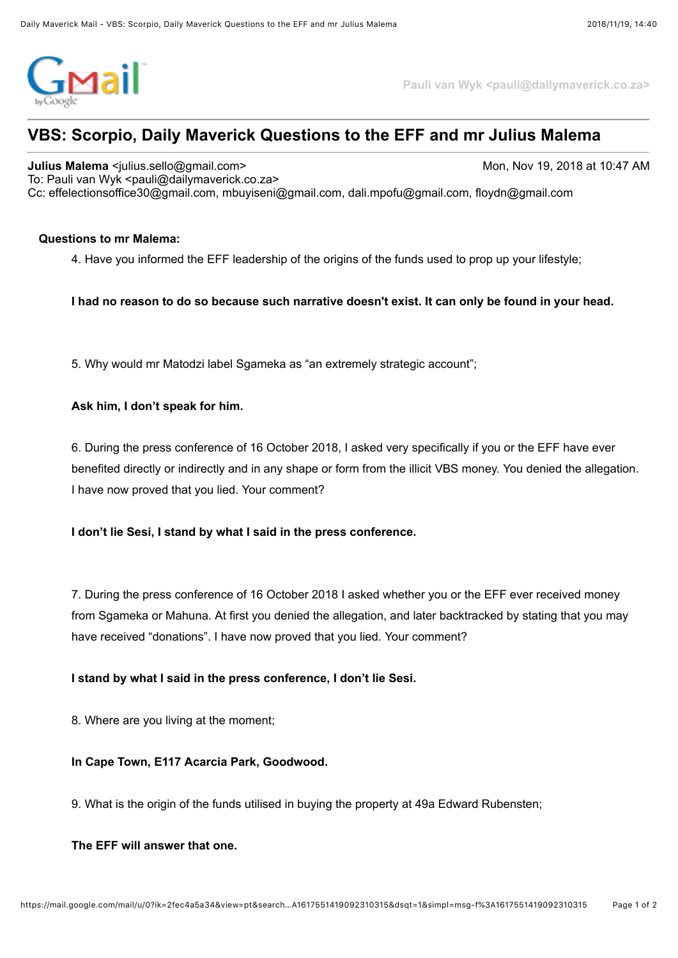

**Pauli van Wyk <pauli@dailymaverick.co.za>**

# **VBS: Scorpio, Daily Maverick Questions to the EFF and mr Julius Malema**

**Julius Malema** <julius.sello@gmail.com> Mon, Nov 19, 2018 at 10:47 AM To: Pauli van Wyk <pauli@dailymaverick.co.za> Cc: effelectionsoffice30@gmail.com, mbuyiseni@gmail.com, dali.mpofu@gmail.com, floydn@gmail.com

## **Questions to mr Malema:**

4. Have you informed the EFF leadership of the origins of the funds used to prop up your lifestyle;

## **I had no reason to do so because such narrative doesn't exist. It can only be found in your head.**

5. Why would mr Matodzi label Sgameka as "an extremely strategic account";

#### **Ask him, I don't speak for him.**

6. During the press conference of 16 October 2018, I asked very specifically if you or the EFF have ever benefited directly or indirectly and in any shape or form from the illicit VBS money. You denied the allegation. I have now proved that you lied. Your comment?

## **I don't lie Sesi, I stand by what I said in the press conference.**

7. During the press conference of 16 October 2018 I asked whether you or the EFF ever received money from Sgameka or Mahuna. At first you denied the allegation, and later backtracked by stating that you may have received "donations". I have now proved that you lied. Your comment?

## **I stand by what I said in the press conference, I don't lie Sesi.**

8. Where are you living at the moment;

#### **In Cape Town, E117 Acarcia Park, Goodwood.**

9. What is the origin of the funds utilised in buying the property at 49a Edward Rubensten;

#### **The EFF will answer that one.**